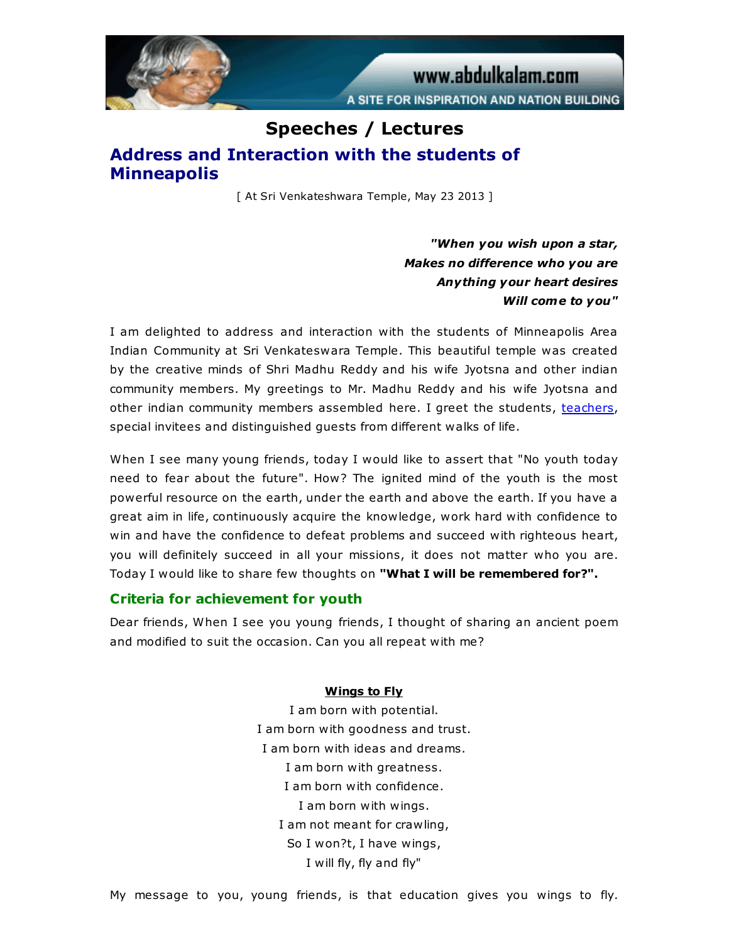

# Speeches / Lectures Address and Interaction with the students of Minneapolis

[ At Sri Venkateshwara Temple, May 23 2013 ]

"When you wish upon a star, Makes no difference who you are Anything your heart desires Will come to you"

I am delighted to address and interaction with the students of Minneapolis Area Indian Community at Sri Venkateswara Temple. This beautiful temple was created by the creative minds of Shri Madhu Reddy and his wife Jyotsna and other indian community members. My greetings to Mr. Madhu Reddy and his wife Jyotsna and other indian community members assembled here. I greet the students, [teachers,](http://www.abdulkalam.com/kalam/jsp/print_content.jsp#) special invitees and distinguished guests from different walks of life.

When I see many young friends, today I would like to assert that "No youth today need to fear about the future". How? The ignited mind of the youth is the most powerful resource on the earth, under the earth and above the earth. If you have a great aim in life, continuously acquire the knowledge, work hard with confidence to win and have the confidence to defeat problems and succeed with righteous heart, you will definitely succeed in all your missions, it does not matter who you are. Today I would like to share few thoughts on "What I will be remembered for?".

## Criteria for achievement for youth

Dear friends, When I see you young friends, I thought of sharing an ancient poem and modified to suit the occasion. Can you all repeat with me?

#### Wings to Fly

I am born with potential. I am born with goodness and trust. I am born with ideas and dreams. I am born with greatness. I am born with confidence. I am born with wings. I am not meant for crawling, So I won?t, I have wings, I will fly, fly and fly"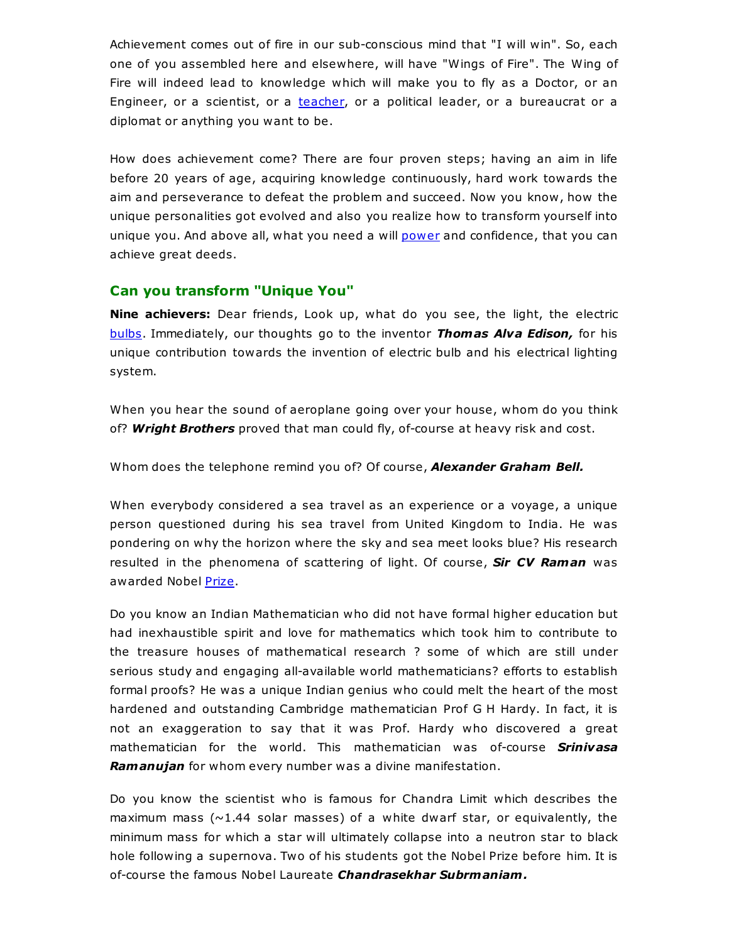Achievement comes out of fire in our sub-conscious mind that "I will win". So, each one of you assembled here and elsewhere, will have "Wings of Fire". The Wing of Fire will indeed lead to knowledge which will make you to fly as a Doctor, or an Engineer, or a scientist, or a [teacher](http://www.abdulkalam.com/kalam/jsp/print_content.jsp#), or a political leader, or a bureaucrat or a diplomat or anything you want to be.

How does achievement come? There are four proven steps; having an aim in life before 20 years of age, acquiring knowledge continuously, hard work towards the aim and perseverance to defeat the problem and succeed. Now you know, how the unique personalities got evolved and also you realize how to transform yourself into unique you. And above all, what you need a will [power](http://www.abdulkalam.com/kalam/jsp/print_content.jsp#) and confidence, that you can achieve great deeds.

## Can you transform "Unique You"

Nine achievers: Dear friends, Look up, what do you see, the light, the electric [bulbs](http://www.abdulkalam.com/kalam/jsp/print_content.jsp#). Immediately, our thoughts go to the inventor Thomas Alva Edison, for his unique contribution towards the invention of electric bulb and his electrical lighting system.

When you hear the sound of aeroplane going over your house, whom do you think of? Wright Brothers proved that man could fly, of-course at heavy risk and cost.

Whom does the telephone remind you of? Of course, **Alexander Graham Bell.** 

When everybody considered a sea travel as an experience or a voyage, a unique person questioned during his sea travel from United Kingdom to India. He was pondering on why the horizon where the sky and sea meet looks blue? His research resulted in the phenomena of scattering of light. Of course, Sir CV Raman was awarded Nobel [Prize](http://www.abdulkalam.com/kalam/jsp/print_content.jsp#).

Do you know an Indian Mathematician who did not have formal higher education but had inexhaustible spirit and love for mathematics which took him to contribute to the treasure houses of mathematical research ? some of which are still under serious study and engaging all-available world mathematicians? efforts to establish formal proofs? He was a unique Indian genius who could melt the heart of the most hardened and outstanding Cambridge mathematician Prof G H Hardy. In fact, it is not an exaggeration to say that it was Prof. Hardy who discovered a great mathematician for the world. This mathematician was of-course **Srinivasa** Ramanujan for whom every number was a divine manifestation.

Do you know the scientist who is famous for Chandra Limit which describes the maximum mass  $(\sim 1.44$  solar masses) of a white dwarf star, or equivalently, the minimum mass for which a star will ultimately collapse into a neutron star to black hole following a supernova. Two of his students got the Nobel Prize before him. It is of-course the famous Nobel Laureate Chandrasekhar Subrmaniam.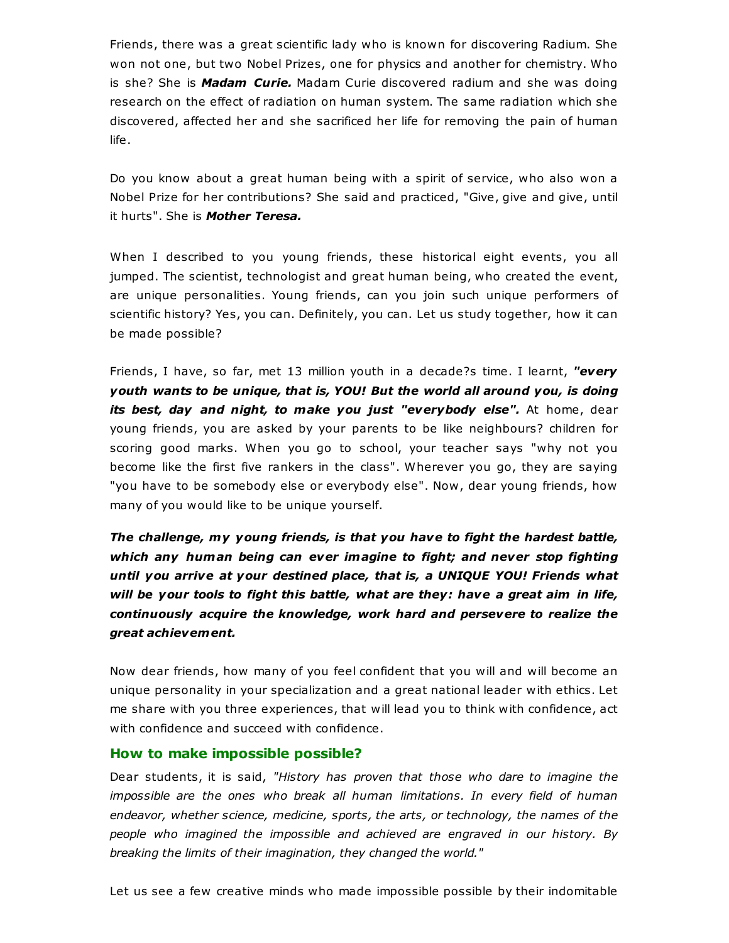Friends, there was a great scientific lady who is known for discovering Radium. She won not one, but two Nobel Prizes, one for physics and another for chemistry. Who is she? She is **Madam Curie.** Madam Curie discovered radium and she was doing research on the effect of radiation on human system. The same radiation which she discovered, affected her and she sacrificed her life for removing the pain of human life.

Do you know about a great human being with a spirit of service, who also won a Nobel Prize for her contributions? She said and practiced, "Give, give and give, until it hurts". She is **Mother Teresa.** 

When I described to you young friends, these historical eight events, you all jumped. The scientist, technologist and great human being, who created the event, are unique personalities. Young friends, can you join such unique performers of scientific history? Yes, you can. Definitely, you can. Let us study together, how it can be made possible?

Friends, I have, so far, met 13 million youth in a decade?s time. I learnt, "every youth wants to be unique, that is, YOU! But the world all around you, is doing its best, day and night, to make you just "everybody else". At home, dear young friends, you are asked by your parents to be like neighbours? children for scoring good marks. When you go to school, your teacher says "why not you become like the first five rankers in the class". Wherever you go, they are saying "you have to be somebody else or everybody else". Now, dear young friends, how many of you would like to be unique yourself.

The challenge, my young friends, is that you have to fight the hardest battle, which any human being can ever imagine to fight; and never stop fighting until you arrive at your destined place, that is, a UNIQUE YOU! Friends what will be your tools to fight this battle, what are they: have a great aim in life, continuously acquire the knowledge, work hard and persevere to realize the great achievement.

Now dear friends, how many of you feel confident that you will and will become an unique personality in your specialization and a great national leader with ethics. Let me share with you three experiences, that will lead you to think with confidence, act with confidence and succeed with confidence.

## How to make impossible possible?

Dear students, it is said, "History has proven that those who dare to imagine the impossible are the ones who break all human limitations. In every field of human endeavor, whether science, medicine, sports, the arts, or technology, the names of the people who imagined the impossible and achieved are engraved in our history. By breaking the limits of their imagination, they changed the world."

Let us see a few creative minds who made impossible possible by their indomitable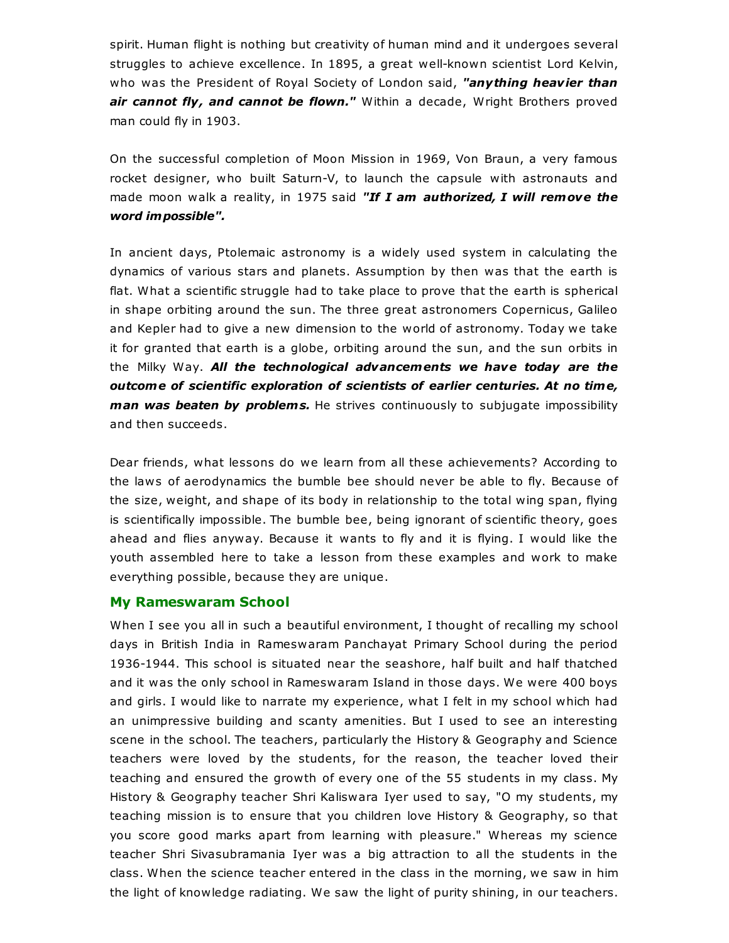spirit. Human flight is nothing but creativity of human mind and it undergoes several struggles to achieve excellence. In 1895, a great well-known scientist Lord Kelvin, who was the President of Royal Society of London said, "anything heavier than air cannot fly, and cannot be flown." Within a decade, Wright Brothers proved man could fly in 1903.

On the successful completion of Moon Mission in 1969, Von Braun, a very famous rocket designer, who built Saturn-V, to launch the capsule with astronauts and made moon walk a reality, in 1975 said "If I am authorized, I will remove the word impossible".

In ancient days, Ptolemaic astronomy is a widely used system in calculating the dynamics of various stars and planets. Assumption by then was that the earth is flat. What a scientific struggle had to take place to prove that the earth is spherical in shape orbiting around the sun. The three great astronomers Copernicus, Galileo and Kepler had to give a new dimension to the world of astronomy. Today we take it for granted that earth is a globe, orbiting around the sun, and the sun orbits in the Milky Way. All the technological advancements we have today are the outcome of scientific exploration of scientists of earlier centuries. At no time, man was beaten by problems. He strives continuously to subjugate impossibility and then succeeds.

Dear friends, what lessons do we learn from all these achievements? According to the laws of aerodynamics the bumble bee should never be able to fly. Because of the size, weight, and shape of its body in relationship to the total wing span, flying is scientifically impossible. The bumble bee, being ignorant of scientific theory, goes ahead and flies anyway. Because it wants to fly and it is flying. I would like the youth assembled here to take a lesson from these examples and work to make everything possible, because they are unique.

#### My Rameswaram School

When I see you all in such a beautiful environment, I thought of recalling my school days in British India in Rameswaram Panchayat Primary School during the period 1936-1944. This school is situated near the seashore, half built and half thatched and it was the only school in Rameswaram Island in those days. We were 400 boys and girls. I would like to narrate my experience, what I felt in my school which had an unimpressive building and scanty amenities. But I used to see an interesting scene in the school. The teachers, particularly the History & Geography and Science teachers were loved by the students, for the reason, the teacher loved their teaching and ensured the growth of every one of the 55 students in my class. My History & Geography teacher Shri Kaliswara Iyer used to say, "O my students, my teaching mission is to ensure that you children love History & Geography, so that you score good marks apart from learning with pleasure." Whereas my science teacher Shri Sivasubramania Iyer was a big attraction to all the students in the class. When the science teacher entered in the class in the morning, we saw in him the light of knowledge radiating. We saw the light of purity shining, in our teachers.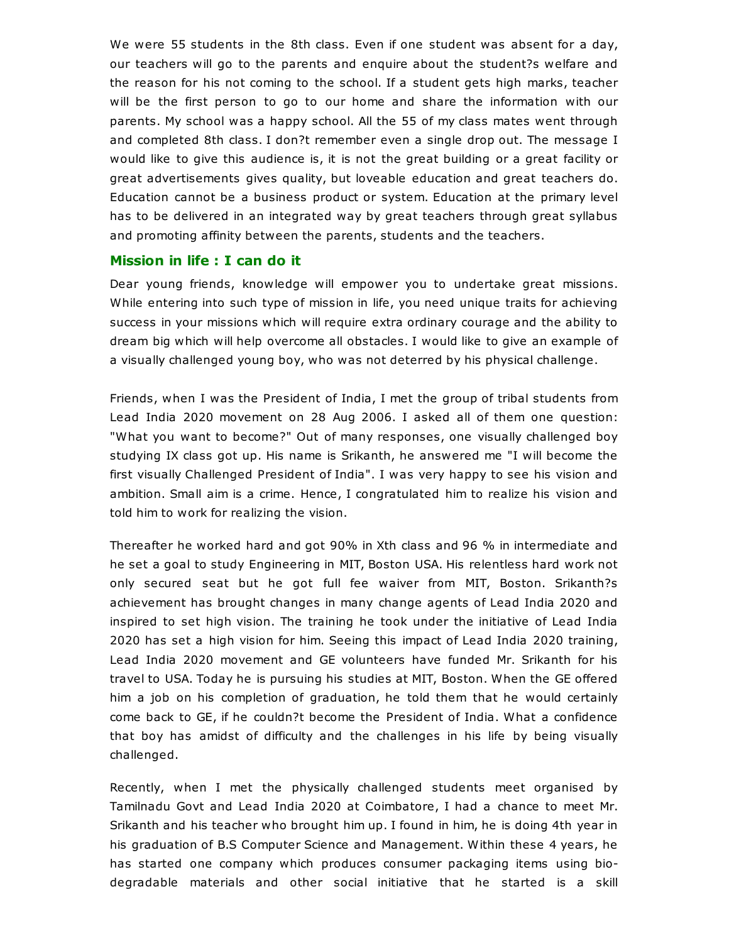We were 55 students in the 8th class. Even if one student was absent for a day, our teachers will go to the parents and enquire about the student?s welfare and the reason for his not coming to the school. If a student gets high marks, teacher will be the first person to go to our home and share the information with our parents. My school was a happy school. All the 55 of my class mates went through and completed 8th class. I don?t remember even a single drop out. The message I would like to give this audience is, it is not the great building or a great facility or great advertisements gives quality, but loveable education and great teachers do. Education cannot be a business product or system. Education at the primary level has to be delivered in an integrated way by great teachers through great syllabus and promoting affinity between the parents, students and the teachers.

### Mission in life : I can do it

Dear young friends, knowledge will empower you to undertake great missions. While entering into such type of mission in life, you need unique traits for achieving success in your missions which will require extra ordinary courage and the ability to dream big which will help overcome all obstacles. I would like to give an example of a visually challenged young boy, who was not deterred by his physical challenge.

Friends, when I was the President of India, I met the group of tribal students from Lead India 2020 movement on 28 Aug 2006. I asked all of them one question: "What you want to become?" Out of many responses, one visually challenged boy studying IX class got up. His name is Srikanth, he answered me "I will become the first visually Challenged President of India". I was very happy to see his vision and ambition. Small aim is a crime. Hence, I congratulated him to realize his vision and told him to work for realizing the vision.

Thereafter he worked hard and got 90% in Xth class and 96 % in intermediate and he set a goal to study Engineering in MIT, Boston USA. His relentless hard work not only secured seat but he got full fee waiver from MIT, Boston. Srikanth?s achievement has brought changes in many change agents of Lead India 2020 and inspired to set high vision. The training he took under the initiative of Lead India 2020 has set a high vision for him. Seeing this impact of Lead India 2020 training, Lead India 2020 movement and GE volunteers have funded Mr. Srikanth for his travel to USA. Today he is pursuing his studies at MIT, Boston. When the GE offered him a job on his completion of graduation, he told them that he would certainly come back to GE, if he couldn?t become the President of India. What a confidence that boy has amidst of difficulty and the challenges in his life by being visually challenged.

Recently, when I met the physically challenged students meet organised by Tamilnadu Govt and Lead India 2020 at Coimbatore, I had a chance to meet Mr. Srikanth and his teacher who brought him up. I found in him, he is doing 4th year in his graduation of B.S Computer Science and Management. Within these 4 years, he has started one company which produces consumer packaging items using biodegradable materials and other social initiative that he started is a skill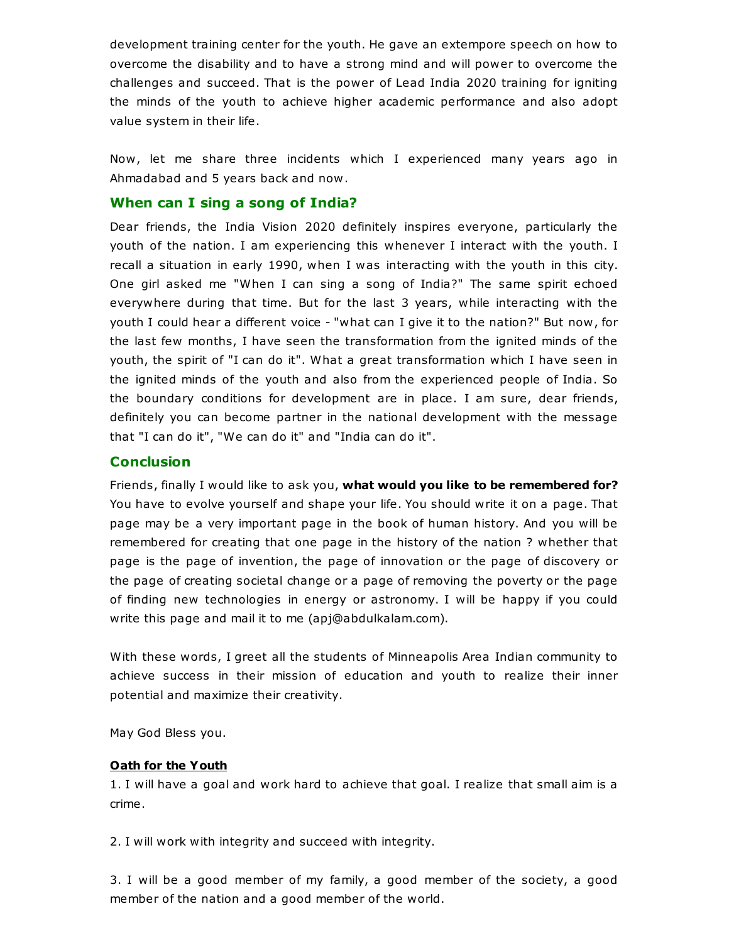development training center for the youth. He gave an extempore speech on how to overcome the disability and to have a strong mind and will power to overcome the challenges and succeed. That is the power of Lead India 2020 training for igniting the minds of the youth to achieve higher academic performance and also adopt value system in their life.

Now, let me share three incidents which I experienced many years ago in Ahmadabad and 5 years back and now.

## When can I sing a song of India?

Dear friends, the India Vision 2020 definitely inspires everyone, particularly the youth of the nation. I am experiencing this whenever I interact with the youth. I recall a situation in early 1990, when I was interacting with the youth in this city. One girl asked me "When I can sing a song of India?" The same spirit echoed everywhere during that time. But for the last 3 years, while interacting with the youth I could hear a different voice - "what can I give it to the nation?" But now, for the last few months, I have seen the transformation from the ignited minds of the youth, the spirit of "I can do it". What a great transformation which I have seen in the ignited minds of the youth and also from the experienced people of India. So the boundary conditions for development are in place. I am sure, dear friends, definitely you can become partner in the national development with the message that "I can do it", "We can do it" and "India can do it".

## Conclusion

Friends, finally I would like to ask you, what would you like to be remembered for? You have to evolve yourself and shape your life. You should write it on a page. That page may be a very important page in the book of human history. And you will be remembered for creating that one page in the history of the nation ? whether that page is the page of invention, the page of innovation or the page of discovery or the page of creating societal change or a page of removing the poverty or the page of finding new technologies in energy or astronomy. I will be happy if you could write this page and mail it to me (apj@abdulkalam.com).

With these words, I greet all the students of Minneapolis Area Indian community to achieve success in their mission of education and youth to realize their inner potential and maximize their creativity.

May God Bless you.

### Oath for the Youth

1. I will have a goal and work hard to achieve that goal. I realize that small aim is a crime.

2. I will work with integrity and succeed with integrity.

3. I will be a good member of my family, a good member of the society, a good member of the nation and a good member of the world.